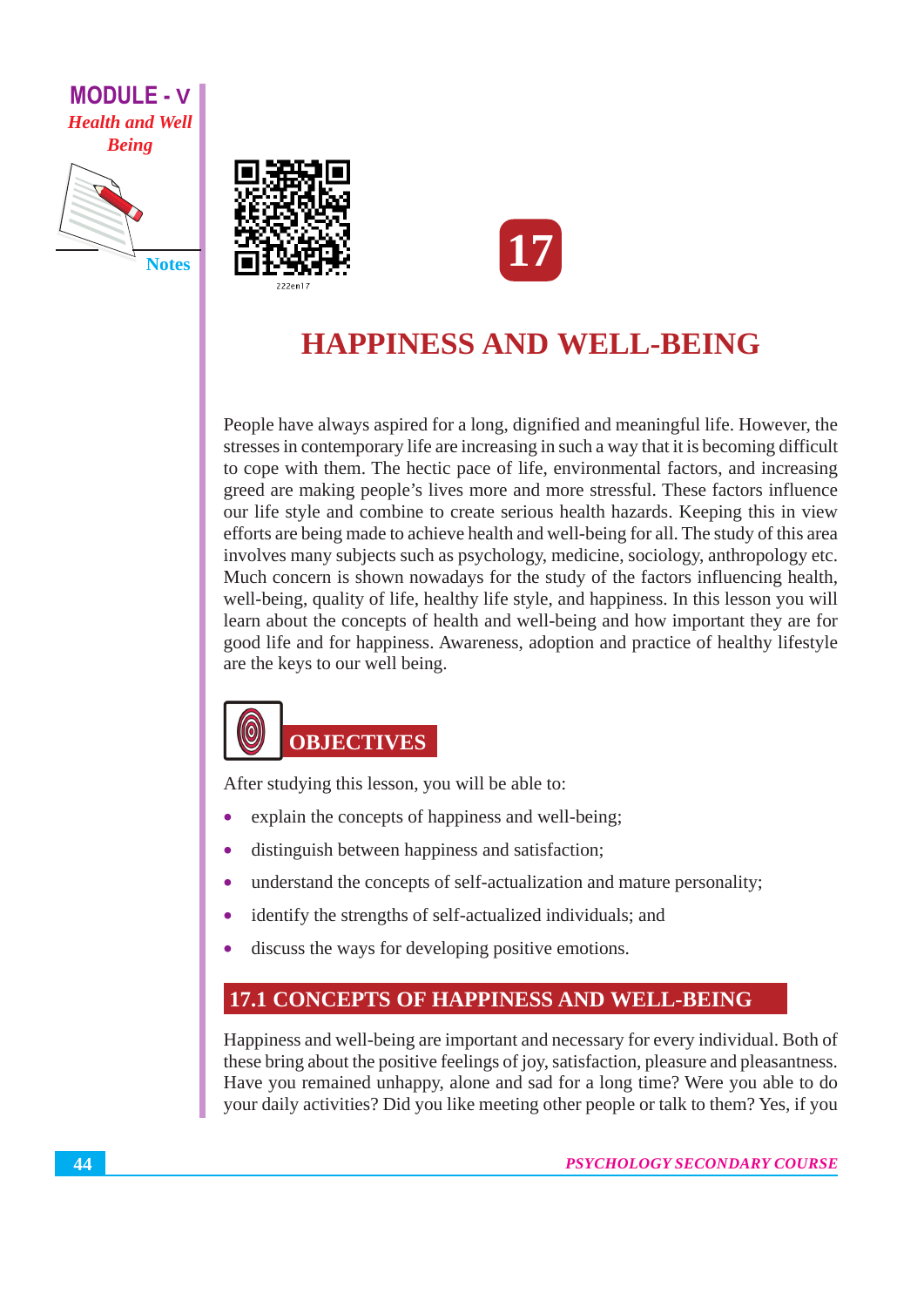





## **HAPPINESS AND WELL-BEING**

People have always aspired for a long, dignified and meaningful life. However, the stresses in contemporary life are increasing in such a way that it is becoming difficult to cope with them. The hectic pace of life, environmental factors, and increasing greed are making people's lives more and more stressful. These factors influence our life style and combine to create serious health hazards. Keeping this in view efforts are being made to achieve health and well-being for all. The study of this area involves many subjects such as psychology, medicine, sociology, anthropology etc. Much concern is shown nowadays for the study of the factors influencing health, well-being, quality of life, healthy life style, and happiness. In this lesson you will learn about the concepts of health and well-being and how important they are for good life and for happiness. Awareness, adoption and practice of healthy lifestyle are the keys to our well being.

# **OBJECTIVES**

After studying this lesson, you will be able to:

- explain the concepts of happiness and well-being;
- distinguish between happiness and satisfaction;
- understand the concepts of self-actualization and mature personality;  $\bullet$
- identify the strengths of self-actualized individuals; and  $\bullet$
- discuss the ways for developing positive emotions.

## **17.1 CONCEPTS OF HAPPINESS AND WELL-BEING**

Happiness and well-being are important and necessary for every individual. Both of these bring about the positive feelings of joy, satisfaction, pleasure and pleasantness. Have you remained unhappy, alone and sad for a long time? Were you able to do your daily activities? Did you like meeting other people or talk to them? Yes, if you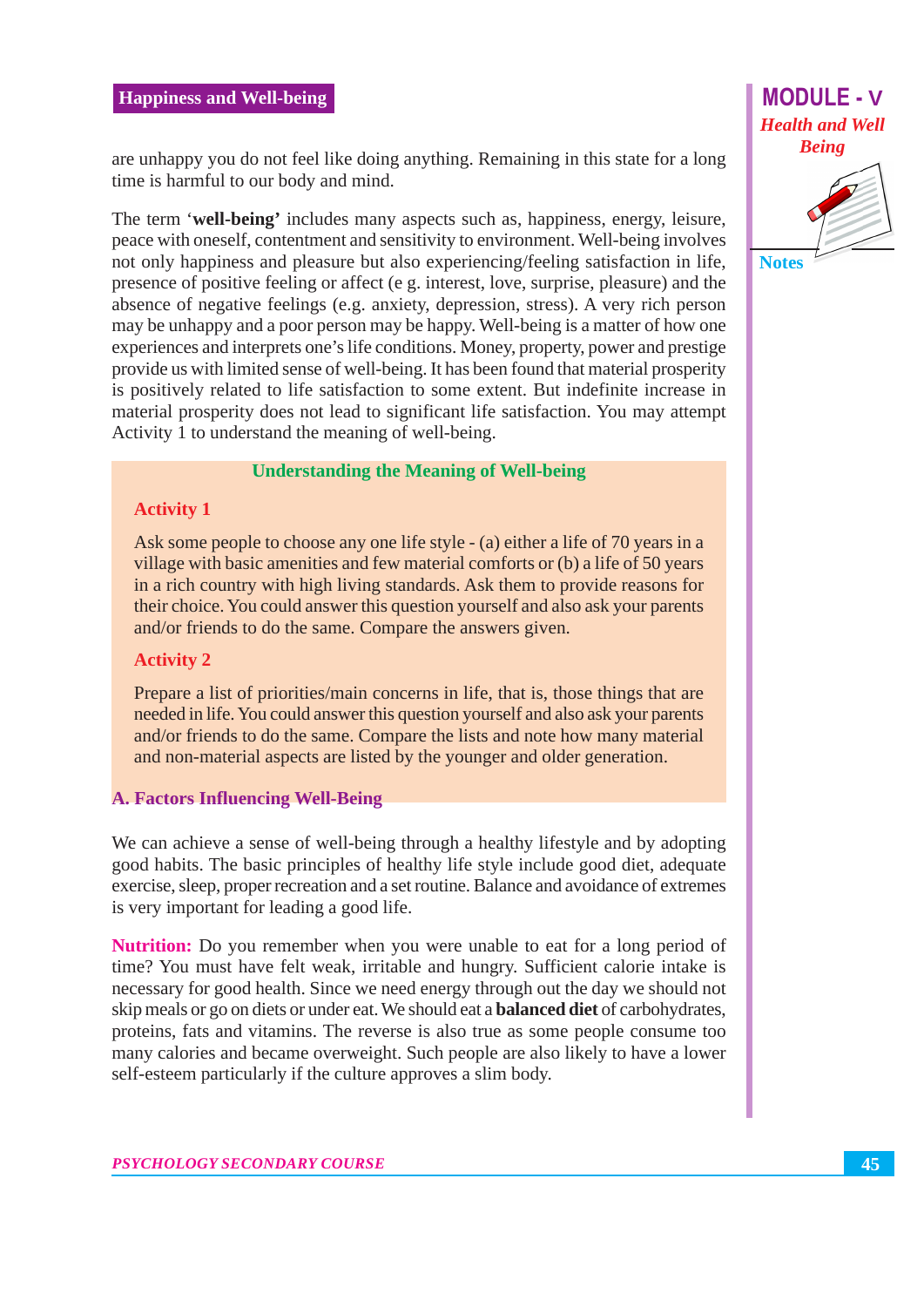

are unhappy you do not feel like doing anything. Remaining in this state for a long time is harmful to our body and mind.

The term 'well-being' includes many aspects such as, happiness, energy, leisure, peace with oneself, contentment and sensitivity to environment. Well-being involves not only happiness and pleasure but also experiencing/feeling satisfaction in life, presence of positive feeling or affect (e g. interest, love, surprise, pleasure) and the absence of negative feelings (e.g. anxiety, depression, stress). A very rich person may be unhappy and a poor person may be happy. Well-being is a matter of how one experiences and interprets one's life conditions. Money, property, power and prestige provide us with limited sense of well-being. It has been found that material prosperity is positively related to life satisfaction to some extent. But indefinite increase in material prosperity does not lead to significant life satisfaction. You may attempt Activity 1 to understand the meaning of well-being.

#### **Understanding the Meaning of Well-being**

#### **Activity 1**

Ask some people to choose any one life style - (a) either a life of 70 years in a village with basic amenities and few material comforts or (b) a life of 50 years in a rich country with high living standards. Ask them to provide reasons for their choice. You could answer this question yourself and also ask your parents and/or friends to do the same. Compare the answers given.

#### **Activity 2**

Prepare a list of priorities/main concerns in life, that is, those things that are needed in life. You could answer this question yourself and also ask your parents and/or friends to do the same. Compare the lists and note how many material and non-material aspects are listed by the younger and older generation.

#### **A. Factors Influencing Well-Being**

We can achieve a sense of well-being through a healthy lifestyle and by adopting good habits. The basic principles of healthy life style include good diet, adequate exercise, sleep, proper recreation and a set routine. Balance and avoidance of extremes is very important for leading a good life.

**Nutrition:** Do you remember when you were unable to eat for a long period of time? You must have felt weak, irritable and hungry. Sufficient calorie intake is necessary for good health. Since we need energy through out the day we should not skip meals or go on diets or under eat. We should eat a **balanced diet** of carbohydrates, proteins, fats and vitamins. The reverse is also true as some people consume too many calories and became overweight. Such people are also likely to have a lower self-esteem particularly if the culture approves a slim body.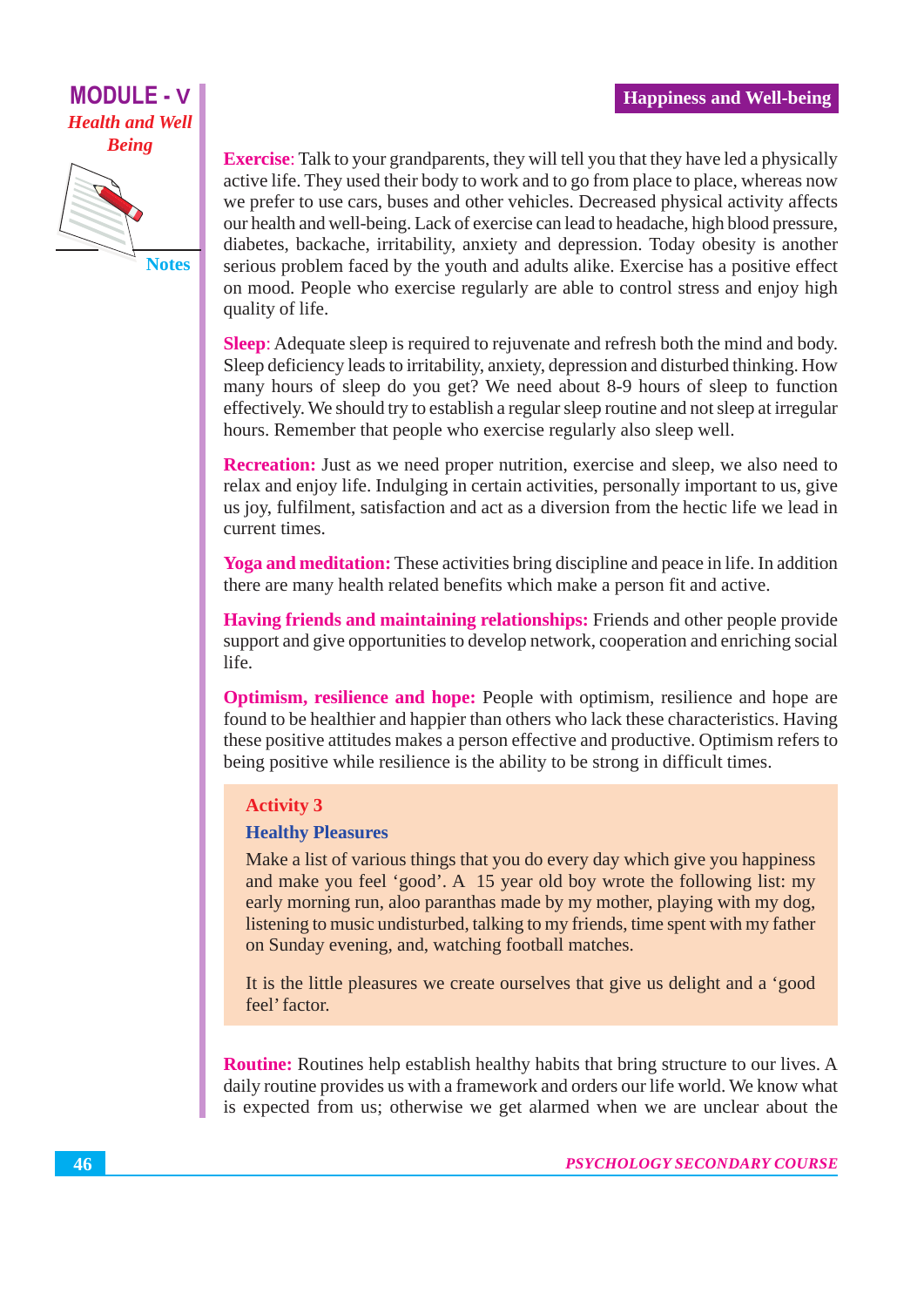

**Exercise:** Talk to your grandparents, they will tell you that they have led a physically active life. They used their body to work and to go from place to place, whereas now we prefer to use cars, buses and other vehicles. Decreased physical activity affects our health and well-being. Lack of exercise can lead to headache, high blood pressure, diabetes, backache, irritability, anxiety and depression. Today obesity is another serious problem faced by the youth and adults alike. Exercise has a positive effect on mood. People who exercise regularly are able to control stress and enjoy high quality of life.

**Sleep:** Adequate sleep is required to rejuvenate and refresh both the mind and body. Sleep deficiency leads to irritability, anxiety, depression and disturbed thinking. How many hours of sleep do you get? We need about 8-9 hours of sleep to function effectively. We should try to establish a regular sleep routine and not sleep at irregular hours. Remember that people who exercise regularly also sleep well.

**Recreation:** Just as we need proper nutrition, exercise and sleep, we also need to relax and enjoy life. Indulging in certain activities, personally important to us, give us joy, fulfilment, satisfaction and act as a diversion from the hectic life we lead in current times.

Yoga and meditation: These activities bring discipline and peace in life. In addition there are many health related benefits which make a person fit and active.

**Having friends and maintaining relationships:** Friends and other people provide support and give opportunities to develop network, cooperation and enriching social life.

Optimism, resilience and hope: People with optimism, resilience and hope are found to be healthier and happier than others who lack these characteristics. Having these positive attitudes makes a person effective and productive. Optimism refers to being positive while resilience is the ability to be strong in difficult times.

#### **Activity 3**

#### **Healthy Pleasures**

Make a list of various things that you do every day which give you happiness and make you feel 'good'. A 15 year old boy wrote the following list: my early morning run, aloo paranthas made by my mother, playing with my dog, listening to music undisturbed, talking to my friends, time spent with my father on Sunday evening, and, watching football matches.

It is the little pleasures we create ourselves that give us delight and a 'good feel' factor.

**Routine:** Routines help establish healthy habits that bring structure to our lives. A daily routine provides us with a framework and orders our life world. We know what is expected from us; otherwise we get alarmed when we are unclear about the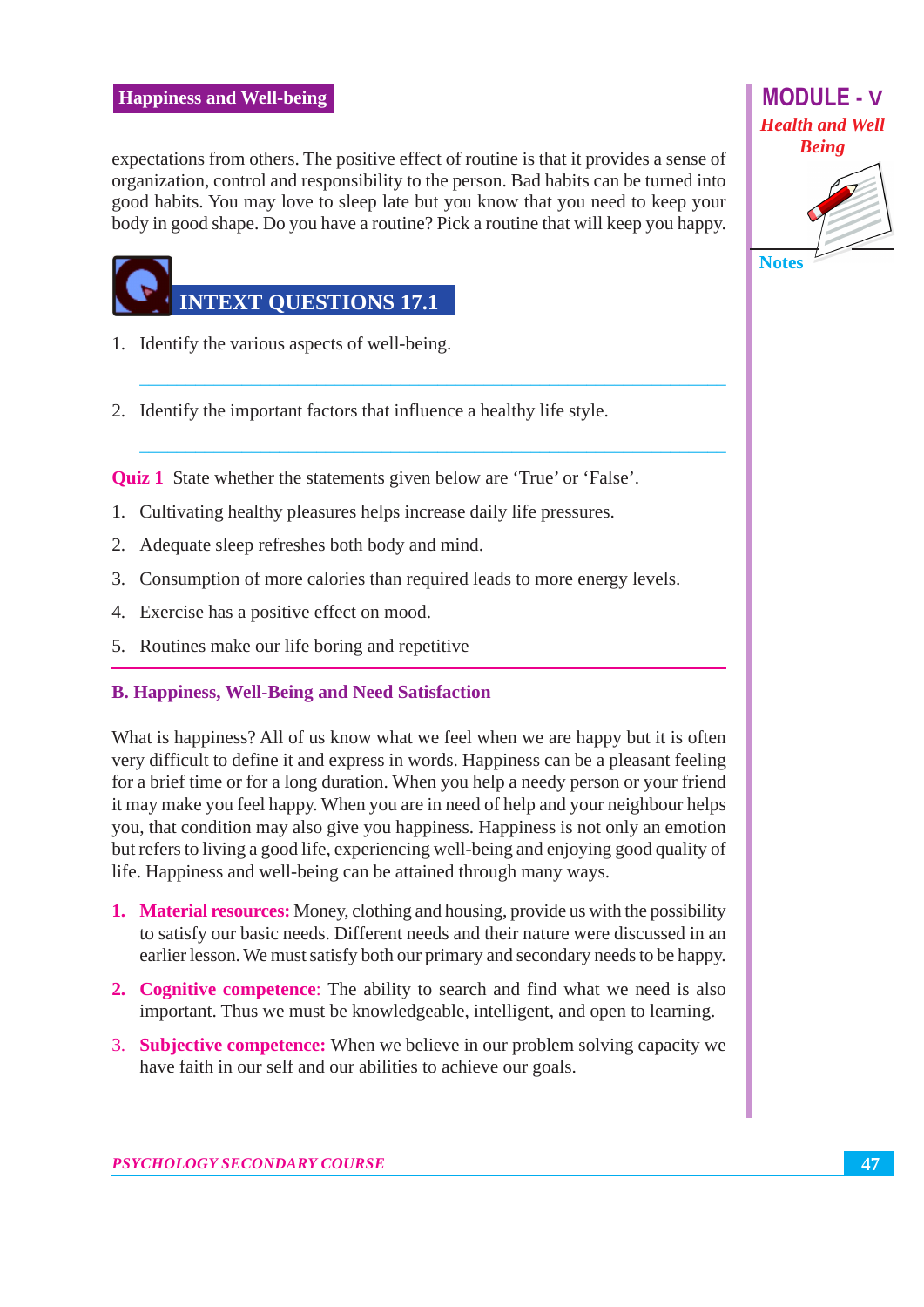expectations from others. The positive effect of routine is that it provides a sense of organization, control and responsibility to the person. Bad habits can be turned into good habits. You may love to sleep late but you know that you need to keep your body in good shape. Do you have a routine? Pick a routine that will keep you happy.



**MODULE - V** 

**Notes** 

1. Identify the various aspects of well-being.

**INTEXT OUESTIONS 17.1** 

- 2. Identify the important factors that influence a healthy life style.
- **Quiz 1** State whether the statements given below are 'True' or 'False'.
- 1. Cultivating healthy pleasures helps increase daily life pressures.
- 2. Adequate sleep refreshes both body and mind.
- 3. Consumption of more calories than required leads to more energy levels.
- 4. Exercise has a positive effect on mood.
- 5. Routines make our life boring and repetitive

#### **B. Happiness, Well-Being and Need Satisfaction**

What is happiness? All of us know what we feel when we are happy but it is often very difficult to define it and express in words. Happiness can be a pleasant feeling for a brief time or for a long duration. When you help a needy person or your friend it may make you feel happy. When you are in need of help and your neighbour helps you, that condition may also give you happiness. Happiness is not only an emotion but refers to living a good life, experiencing well-being and enjoying good quality of life. Happiness and well-being can be attained through many ways.

- 1. Material resources: Money, clothing and housing, provide us with the possibility to satisfy our basic needs. Different needs and their nature were discussed in an earlier lesson. We must satisfy both our primary and secondary needs to be happy.
- 2. Cognitive competence: The ability to search and find what we need is also important. Thus we must be knowledgeable, intelligent, and open to learning.
- 3. **Subjective competence:** When we believe in our problem solving capacity we have faith in our self and our abilities to achieve our goals.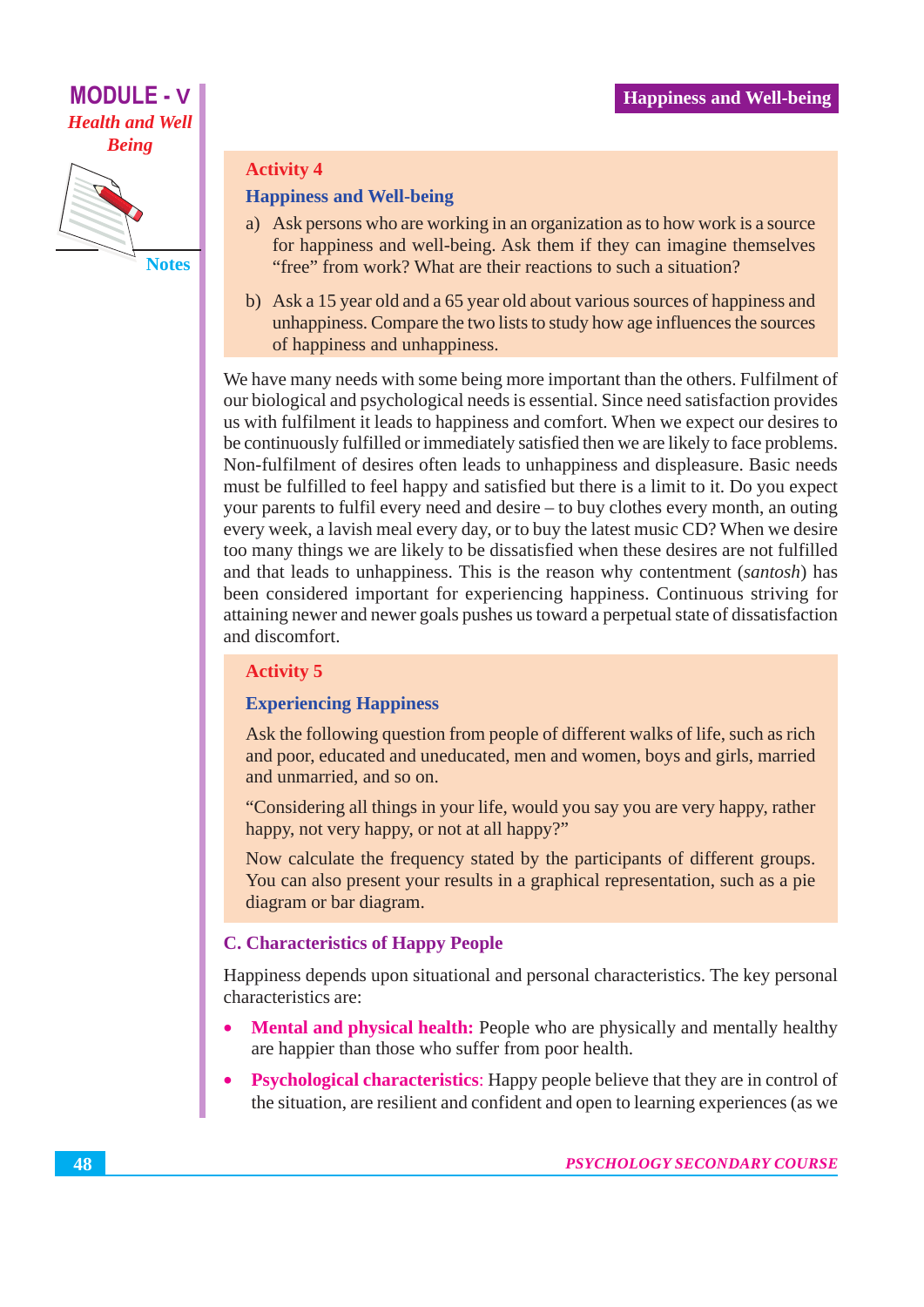

#### **Activity 4**

#### **Happiness and Well-being**

- a) Ask persons who are working in an organization as to how work is a source for happiness and well-being. Ask them if they can imagine themselves "free" from work? What are their reactions to such a situation?
- b) Ask a 15 year old and a 65 year old about various sources of happiness and unhappiness. Compare the two lists to study how age influences the sources of happiness and unhappiness.

We have many needs with some being more important than the others. Fulfilment of our biological and psychological needs is essential. Since need satisfaction provides us with fulfilment it leads to happiness and comfort. When we expect our desires to be continuously fulfilled or immediately satisfied then we are likely to face problems. Non-fulfilment of desires often leads to unhappiness and displeasure. Basic needs must be fulfilled to feel happy and satisfied but there is a limit to it. Do you expect your parents to fulfil every need and desire – to buy clothes every month, an outing every week, a lavish meal every day, or to buy the latest music CD? When we desire too many things we are likely to be dissatisfied when these desires are not fulfilled and that leads to unhappiness. This is the reason why contentment (santosh) has been considered important for experiencing happiness. Continuous striving for attaining newer and newer goals pushes us toward a perpetual state of dissatisfaction and discomfort.

#### **Activity 5**

#### **Experiencing Happiness**

Ask the following question from people of different walks of life, such as rich and poor, educated and uneducated, men and women, boys and girls, married and unmarried, and so on.

"Considering all things in your life, would you say you are very happy, rather happy, not very happy, or not at all happy?"

Now calculate the frequency stated by the participants of different groups. You can also present your results in a graphical representation, such as a pie diagram or bar diagram.

#### **C. Characteristics of Happy People**

Happiness depends upon situational and personal characteristics. The key personal characteristics are:

- **Mental and physical health:** People who are physically and mentally healthy are happier than those who suffer from poor health.
- **Psychological characteristics:** Happy people believe that they are in control of  $\bullet$ the situation, are resilient and confident and open to learning experiences (as we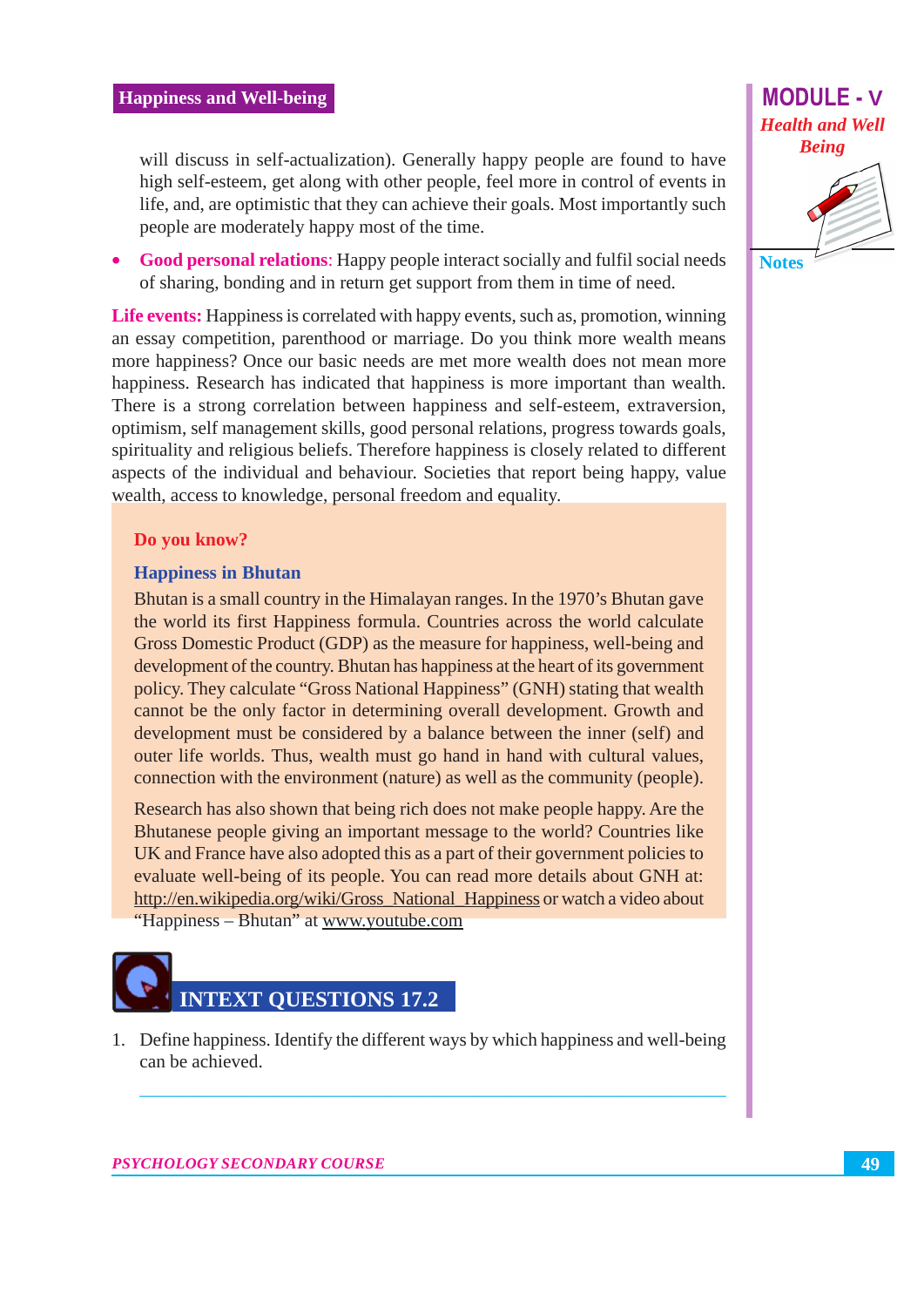

will discuss in self-actualization). Generally happy people are found to have high self-esteem, get along with other people, feel more in control of events in life, and, are optimistic that they can achieve their goals. Most importantly such people are moderately happy most of the time.

Good personal relations: Happy people interact socially and fulfil social needs of sharing, bonding and in return get support from them in time of need.

**Life events:** Happiness is correlated with happy events, such as, promotion, winning an essay competition, parenthood or marriage. Do you think more wealth means more happiness? Once our basic needs are met more wealth does not mean more happiness. Research has indicated that happiness is more important than wealth. There is a strong correlation between happiness and self-esteem, extraversion, optimism, self management skills, good personal relations, progress towards goals, spirituality and religious beliefs. Therefore happiness is closely related to different aspects of the individual and behaviour. Societies that report being happy, value wealth, access to knowledge, personal freedom and equality.

#### Do you know?

#### **Happiness in Bhutan**

Bhutan is a small country in the Himalayan ranges. In the 1970's Bhutan gave the world its first Happiness formula. Countries across the world calculate Gross Domestic Product (GDP) as the measure for happiness, well-being and development of the country. Bhutan has happiness at the heart of its government policy. They calculate "Gross National Happiness" (GNH) stating that wealth cannot be the only factor in determining overall development. Growth and development must be considered by a balance between the inner (self) and outer life worlds. Thus, wealth must go hand in hand with cultural values, connection with the environment (nature) as well as the community (people).

Research has also shown that being rich does not make people happy. Are the Bhutanese people giving an important message to the world? Countries like UK and France have also adopted this as a part of their government policies to evaluate well-being of its people. You can read more details about GNH at: http://en.wikipedia.org/wiki/Gross National Happiness or watch a video about "Happiness - Bhutan" at www.youtube.com



1. Define happiness. Identify the different ways by which happiness and well-being can be achieved.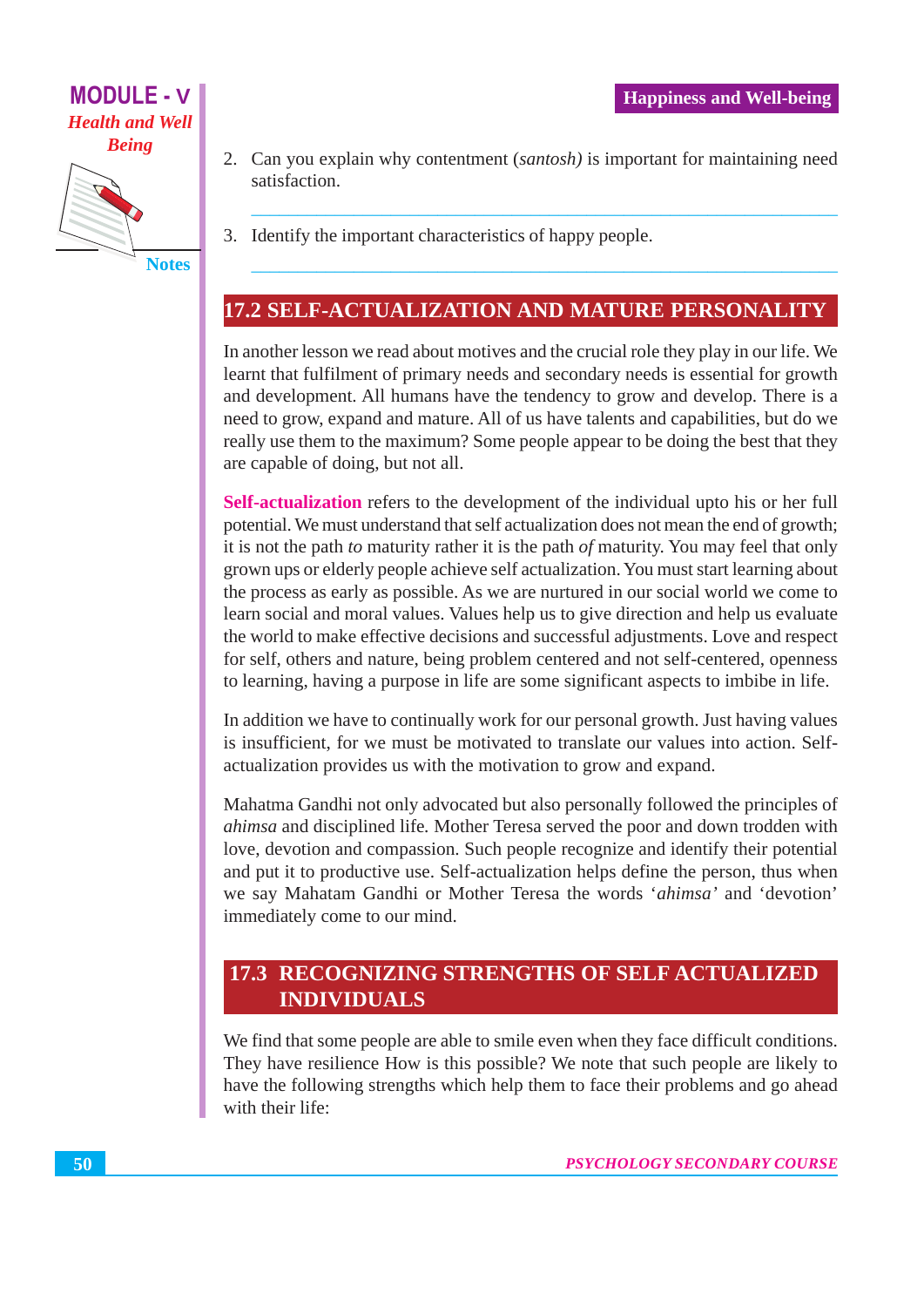

**MODULE - V** 

**Health and Well** 

2. Can you explain why contentment *(santosh)* is important for maintaining need satisfaction

3. Identify the important characteristics of happy people.

### 17.2 SELF-ACTUALIZATION AND MATURE PERSONALITY

In another lesson we read about motives and the crucial role they play in our life. We learnt that fulfilment of primary needs and secondary needs is essential for growth and development. All humans have the tendency to grow and develop. There is a need to grow, expand and mature. All of us have talents and capabilities, but do we really use them to the maximum? Some people appear to be doing the best that they are capable of doing, but not all.

Self-actualization refers to the development of the individual upto his or her full potential. We must understand that self actualization does not mean the end of growth; it is not the path to maturity rather it is the path of maturity. You may feel that only grown ups or elderly people achieve self actualization. You must start learning about the process as early as possible. As we are nurtured in our social world we come to learn social and moral values. Values help us to give direction and help us evaluate the world to make effective decisions and successful adjustments. Love and respect for self, others and nature, being problem centered and not self-centered, openness to learning, having a purpose in life are some significant aspects to imbibe in life.

In addition we have to continually work for our personal growth. Just having values is insufficient, for we must be motivated to translate our values into action. Selfactualization provides us with the motivation to grow and expand.

Mahatma Gandhi not only advocated but also personally followed the principles of *ahimsa* and disciplined life. Mother Teresa served the poor and down trodden with love, devotion and compassion. Such people recognize and identify their potential and put it to productive use. Self-actualization helps define the person, thus when we say Mahatam Gandhi or Mother Teresa the words 'ahimsa' and 'devotion' immediately come to our mind.

### **17.3 RECOGNIZING STRENGTHS OF SELF ACTUALIZED INDIVIDUALS**

We find that some people are able to smile even when they face difficult conditions. They have resilience How is this possible? We note that such people are likely to have the following strengths which help them to face their problems and go ahead with their life: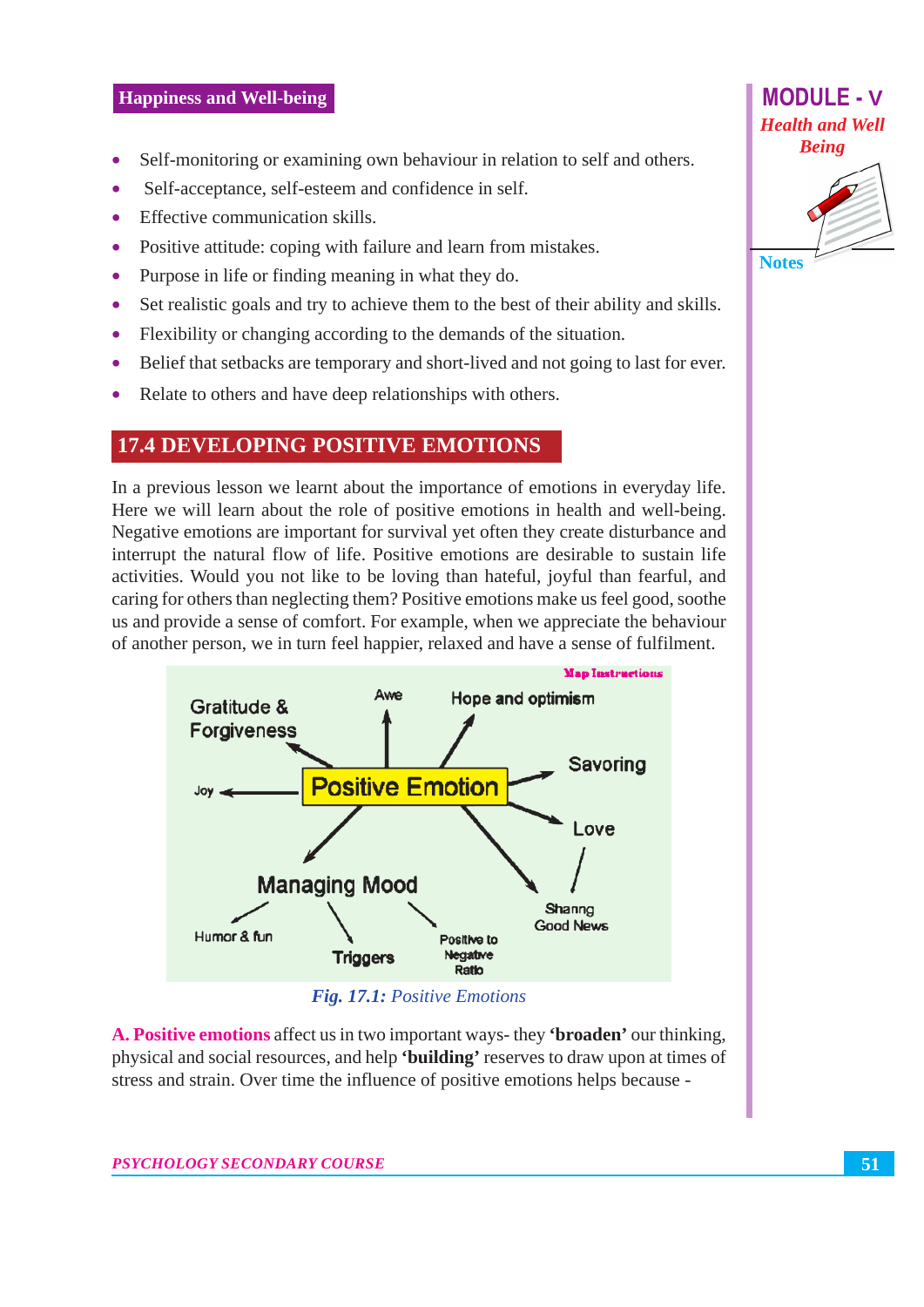#### **Happiness and Well-being**

- Self-monitoring or examining own behaviour in relation to self and others.  $\bullet$
- Self-acceptance, self-esteem and confidence in self.  $\blacksquare$
- Effective communication skills  $\blacksquare$
- Positive attitude: coping with failure and learn from mistakes.  $\bullet$
- Purpose in life or finding meaning in what they do.  $\bullet$
- Set realistic goals and try to achieve them to the best of their ability and skills.  $\bullet$
- Flexibility or changing according to the demands of the situation.  $\bullet$
- Belief that setbacks are temporary and short-lived and not going to last for ever.  $\bullet$
- Relate to others and have deep relationships with others.  $\bullet$

#### **17.4 DEVELOPING POSITIVE EMOTIONS**

In a previous lesson we learnt about the importance of emotions in everyday life. Here we will learn about the role of positive emotions in health and well-being. Negative emotions are important for survival yet often they create disturbance and interrupt the natural flow of life. Positive emotions are desirable to sustain life activities. Would you not like to be loving than hateful, joyful than fearful, and caring for others than neglecting them? Positive emotions make us feel good, soothe us and provide a sense of comfort. For example, when we appreciate the behaviour of another person, we in turn feel happier, relaxed and have a sense of fulfilment.



A. Positive emotions affect us in two important ways- they 'broaden' our thinking, physical and social resources, and help 'building' reserves to draw upon at times of stress and strain. Over time the influence of positive emotions helps because -



**MODULE - V**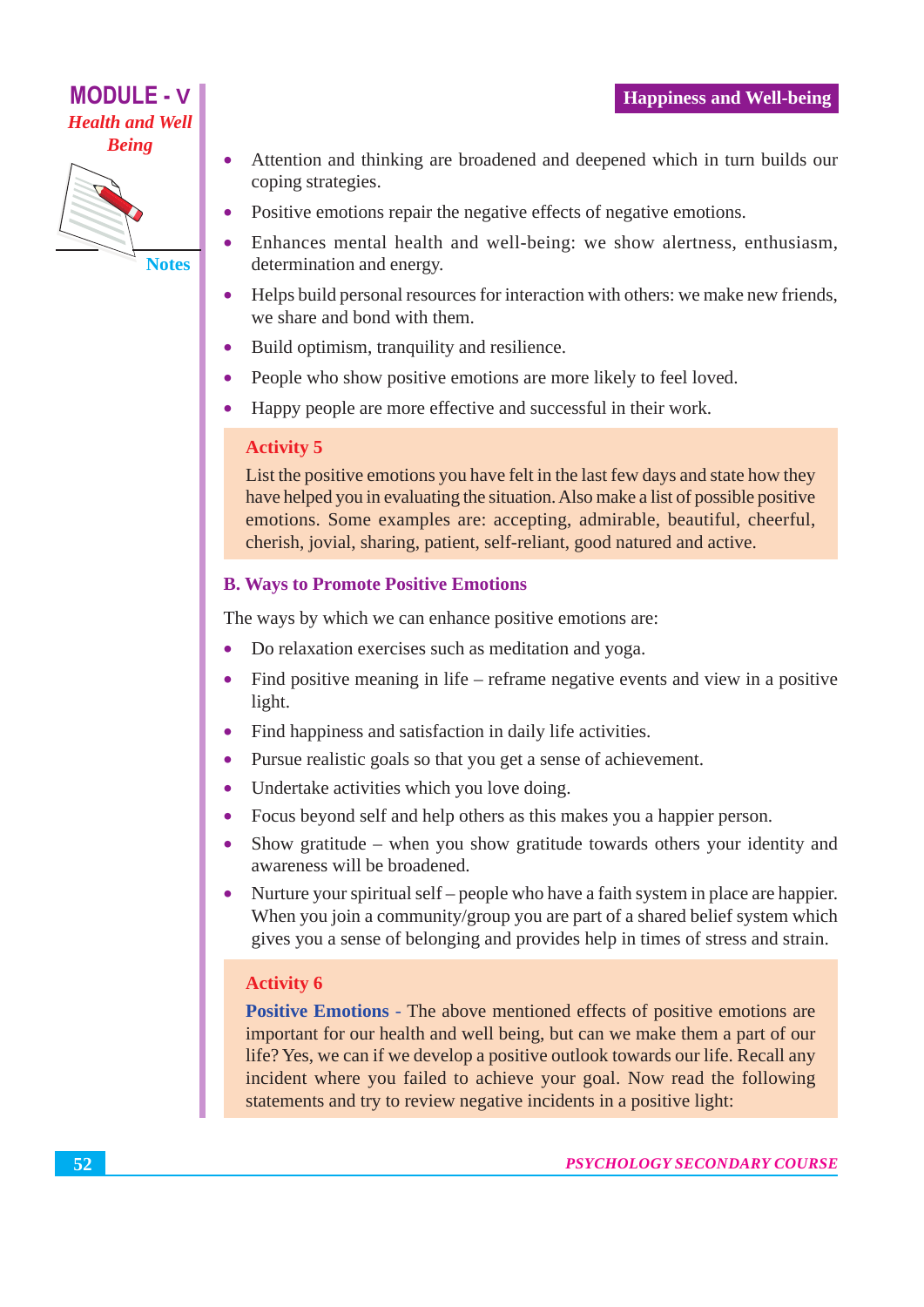

- Attention and thinking are broadened and deepened which in turn builds our  $\bullet$ coping strategies.
- Positive emotions repair the negative effects of negative emotions.
- Enhances mental health and well-being: we show alertness, enthusiasm,  $\bullet$ determination and energy.
- Helps build personal resources for interaction with others: we make new friends, we share and bond with them.
- Build optimism, tranquility and resilience.
- People who show positive emotions are more likely to feel loved.  $\bullet$
- Happy people are more effective and successful in their work.  $\bullet$

#### **Activity 5**

List the positive emotions you have felt in the last few days and state how they have helped you in evaluating the situation. Also make a list of possible positive emotions. Some examples are: accepting, admirable, beautiful, cheerful, cherish, jovial, sharing, patient, self-reliant, good natured and active.

#### **B. Ways to Promote Positive Emotions**

The ways by which we can enhance positive emotions are:

- Do relaxation exercises such as meditation and yoga.
- Find positive meaning in life reframe negative events and view in a positive light.
- Find happiness and satisfaction in daily life activities.  $\bullet$
- Pursue realistic goals so that you get a sense of achievement.  $\bullet$
- Undertake activities which you love doing.  $\bullet$
- Focus beyond self and help others as this makes you a happier person.  $\bullet$
- Show gratitude when you show gratitude towards others your identity and  $\bullet$ awareness will be broadened.
- Nurture your spiritual self people who have a faith system in place are happier. When you join a community/group you are part of a shared belief system which gives you a sense of belonging and provides help in times of stress and strain.

#### **Activity 6**

Positive Emotions - The above mentioned effects of positive emotions are important for our health and well being, but can we make them a part of our life? Yes, we can if we develop a positive outlook towards our life. Recall any incident where you failed to achieve your goal. Now read the following statements and try to review negative incidents in a positive light: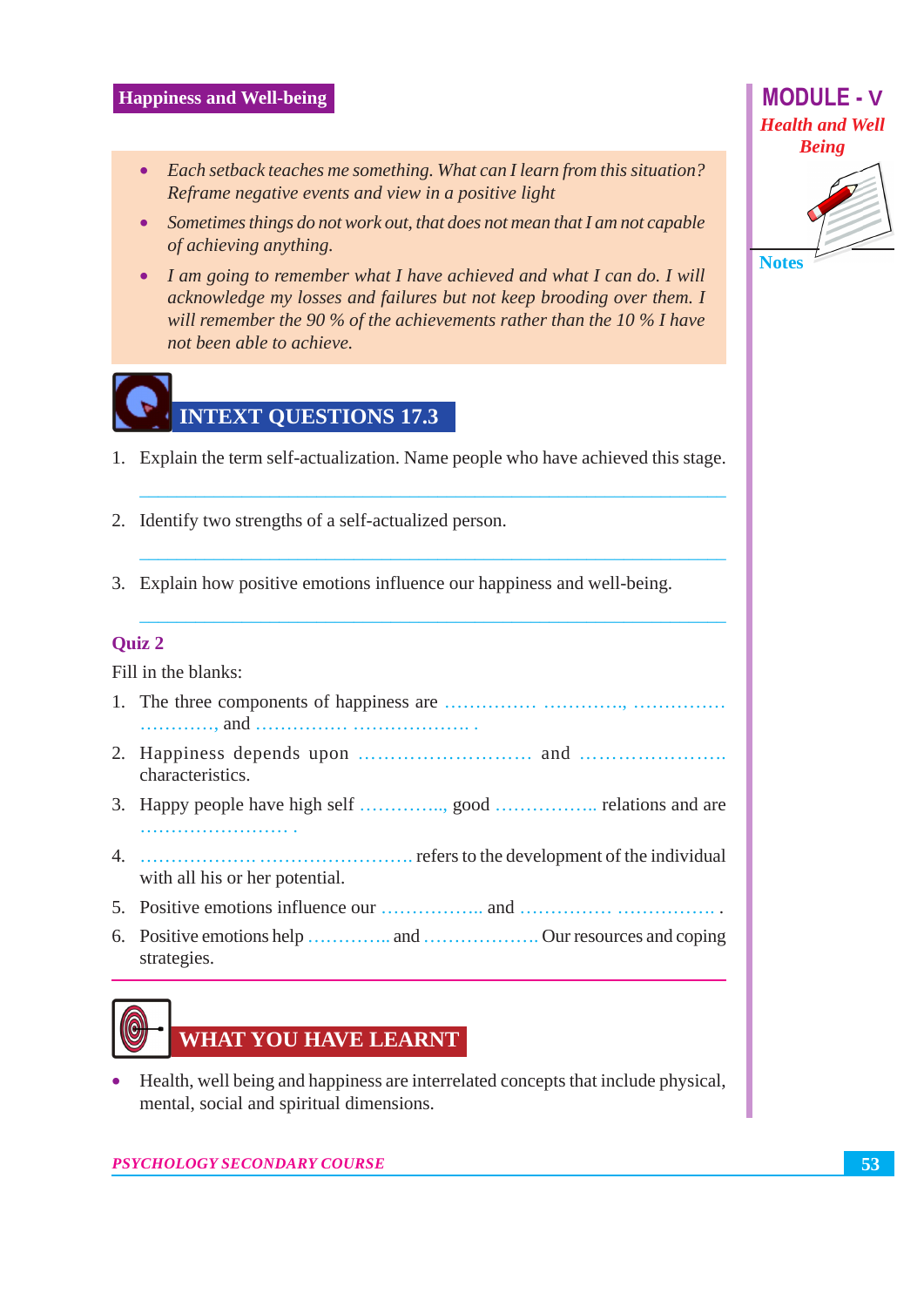#### **Happiness and Well-being**

- Each setback teaches me something. What can I learn from this situation? Reframe negative events and view in a positive light
- Sometimes things do not work out, that does not mean that I am not capable of achieving anything.
- I am going to remember what I have achieved and what I can do. I will acknowledge my losses and failures but not keep brooding over them. I will remember the 90 % of the achievements rather than the 10 % I have not been able to achieve.



- 1. Explain the term self-actualization. Name people who have achieved this stage.
- 2. Identify two strengths of a self-actualized person.
- 3. Explain how positive emotions influence our happiness and well-being.

#### **Ouiz 2**

Fill in the blanks:

- 
- characteristics.
- 
- with all his or her potential.
- 
- strategies.

## **WHAT YOU HAVE LEARNT**

Health, well being and happiness are interrelated concepts that include physical,  $\bullet$ mental, social and spiritual dimensions.

PSYCHOLOGY SECONDARY COURSE



**Notes**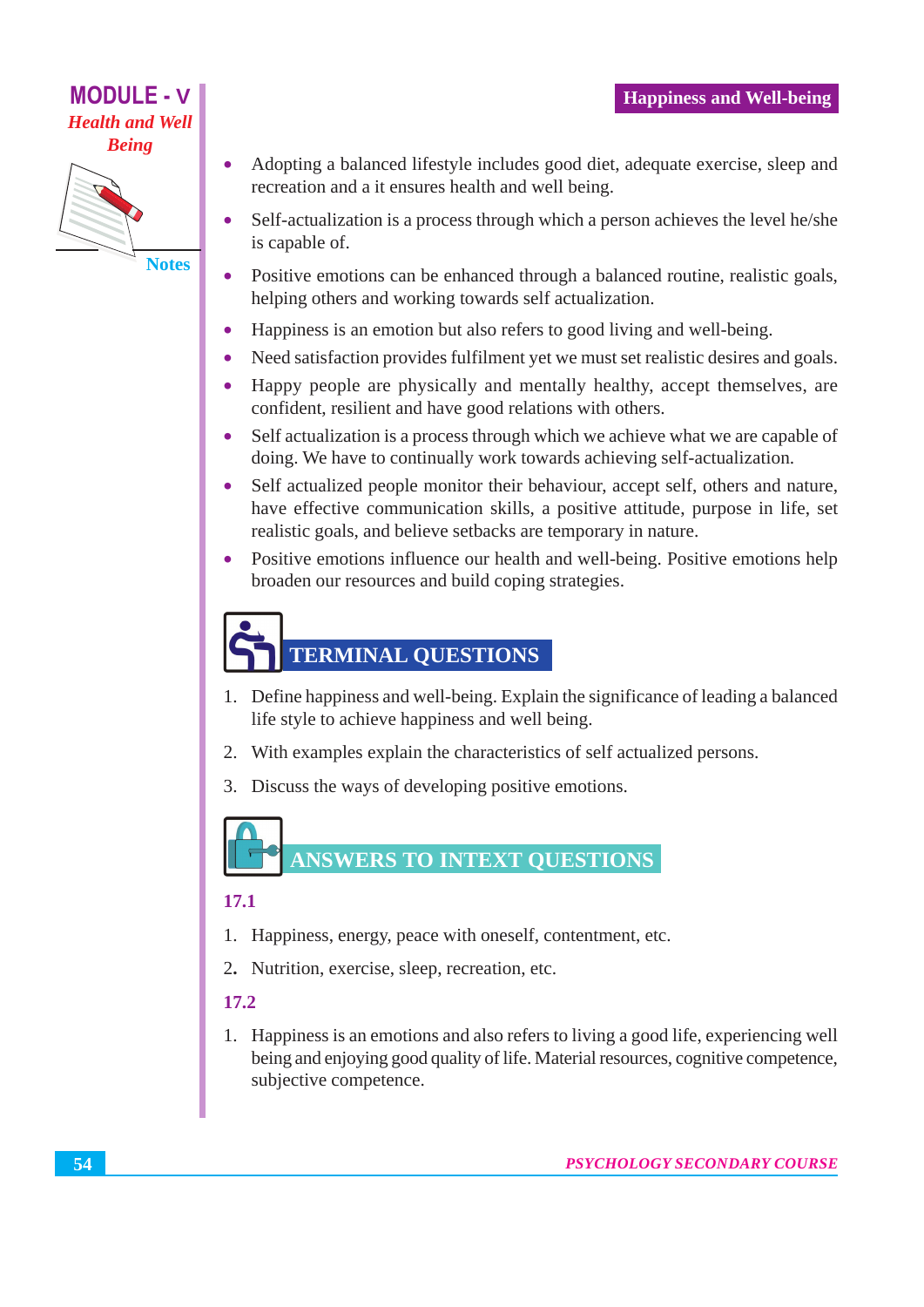

- Adopting a balanced lifestyle includes good diet, adequate exercise, sleep and  $\bullet$ recreation and a it ensures health and well being.
- Self-actualization is a process through which a person achieves the level he/she  $\bullet$ is capable of.
- Positive emotions can be enhanced through a balanced routine, realistic goals,  $\bullet$ helping others and working towards self actualization.
- Happiness is an emotion but also refers to good living and well-being.
- Need satisfaction provides fulfilment yet we must set realistic desires and goals.
- Happy people are physically and mentally healthy, accept themselves, are  $\bullet$ confident, resilient and have good relations with others.
- $\bullet$ Self actualization is a process through which we achieve what we are capable of doing. We have to continually work towards achieving self-actualization.
- Self actualized people monitor their behaviour, accept self, others and nature,  $\bullet$ have effective communication skills, a positive attitude, purpose in life, set realistic goals, and believe setbacks are temporary in nature.
- $\bullet$ Positive emotions influence our health and well-being. Positive emotions help broaden our resources and build coping strategies.

## **TERMINAL QUESTIONS**

- 1. Define happiness and well-being. Explain the significance of leading a balanced life style to achieve happiness and well being.
- 2. With examples explain the characteristics of self actualized persons.
- 3. Discuss the ways of developing positive emotions.

## **ANSWERS TO INTEXT OUESTIONS**

#### 17.1

- 1. Happiness, energy, peace with oneself, contentment, etc.
- 2. Nutrition, exercise, sleep, recreation, etc.

#### 17.2

1. Happiness is an emotions and also refers to living a good life, experiencing well being and enjoying good quality of life. Material resources, cognitive competence, subjective competence.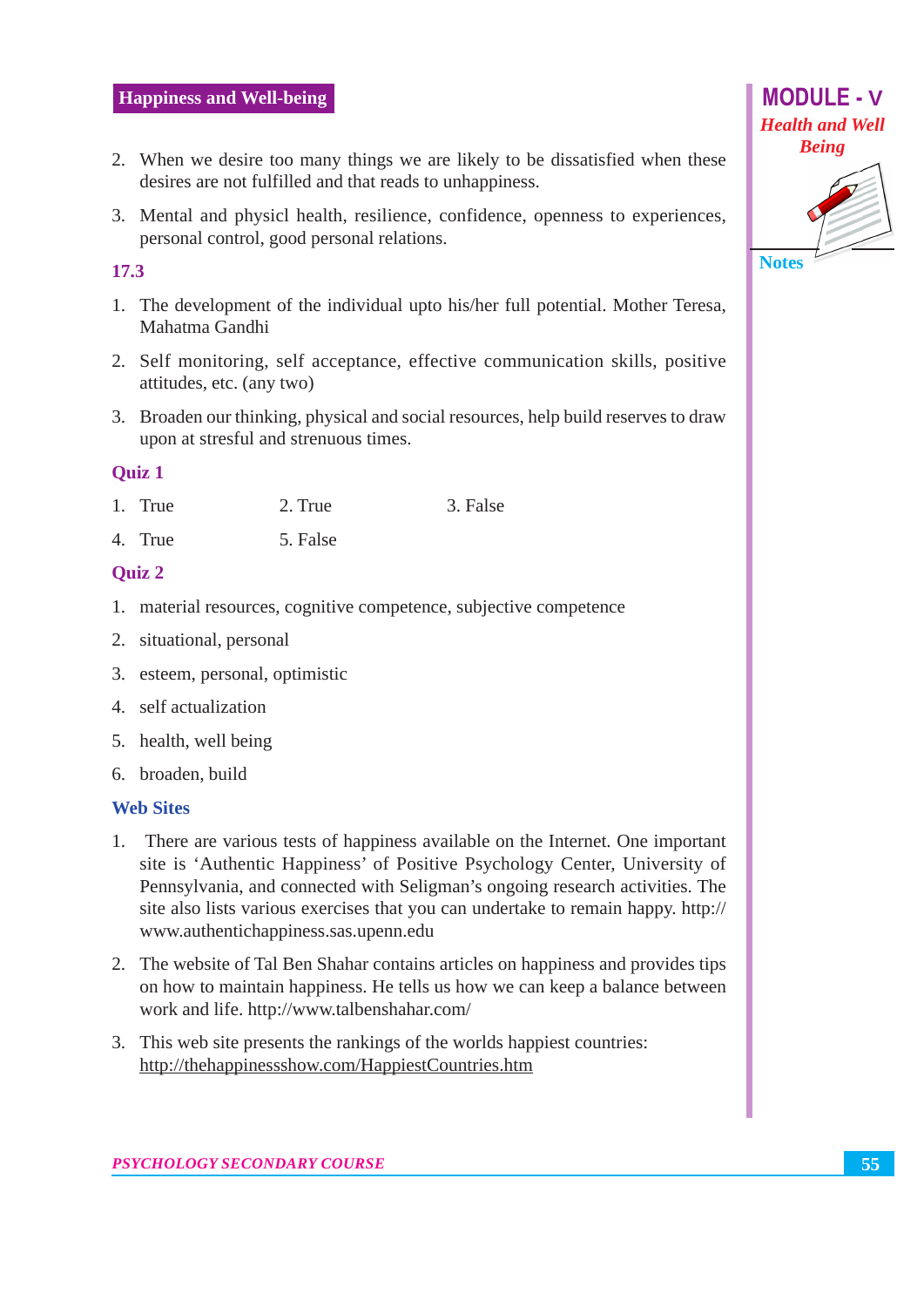- 2. When we desire too many things we are likely to be dissatisfied when these desires are not fulfilled and that reads to unhappiness.
- 3. Mental and physicl health, resilience, confidence, openness to experiences, personal control, good personal relations.

#### 17.3

- 1. The development of the individual upto his/her full potential. Mother Teresa, Mahatma Gandhi
- 2. Self monitoring, self acceptance, effective communication skills, positive attitudes, etc. (any two)
- 3. Broaden our thinking, physical and social resources, help build reserves to draw upon at stresful and strenuous times.

#### **Ouiz 1**

- 1. True 3. False  $2$ . True
- 4. True 5. False

#### **Ouiz 2**

- 1. material resources, cognitive competence, subjective competence
- 2. situational, personal
- 3. esteem, personal, optimistic
- 4. self actualization
- 5. health, well being
- 6. broaden, build

#### **Web Sites**

- 1. There are various tests of happiness available on the Internet. One important site is 'Authentic Happiness' of Positive Psychology Center, University of Pennsylvania, and connected with Seligman's ongoing research activities. The site also lists various exercises that you can undertake to remain happy. http:// www.authentichappiness.sas.upenn.edu
- 2. The website of Tal Ben Shahar contains articles on happiness and provides tips on how to maintain happiness. He tells us how we can keep a balance between work and life. http://www.talbenshahar.com/
- 3. This web site presents the rankings of the worlds happiest countries: http://thehappinessshow.com/HappiestCountries.htm



**MODULE - V**